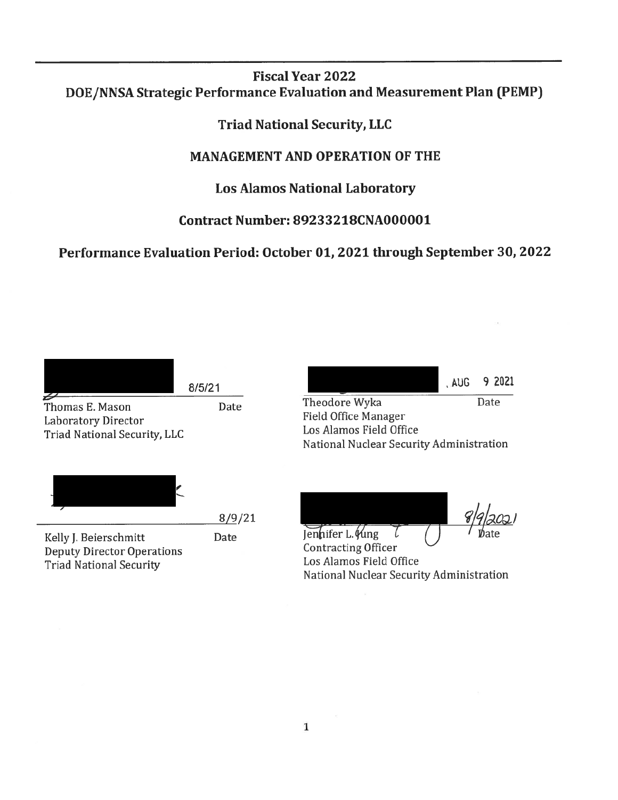# **Fiscal Year 2022** DOE/NNSA Strategic Performance Evaluation and Measurement Plan (PEMP)

**Triad National Security, LLC** 

# **MANAGEMENT AND OPERATION OF THE**

# **Los Alamos National Laboratory**

# **Contract Number: 89233218CNA000001**

Performance Evaluation Period: October 01, 2021 through September 30, 2022

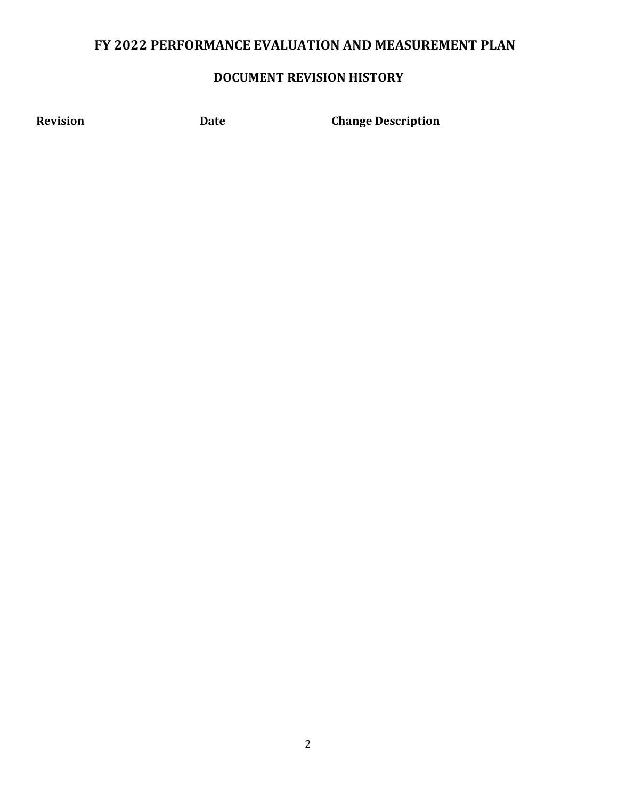# **FY 2022 PERFORMANCE EVALUATION AND MEASUREMENT PLAN**

# **DOCUMENT REVISION HISTORY**

**Revision Date Change Description**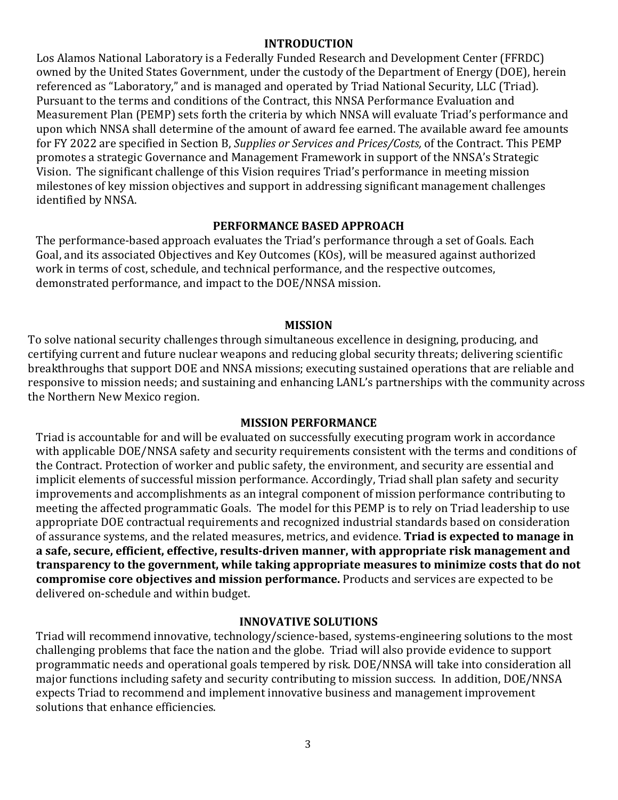#### **INTRODUCTION**

Los Alamos National Laboratory is a Federally Funded Research and Development Center (FFRDC) owned by the United States Government, under the custody of the Department of Energy (DOE), herein referenced as "Laboratory," and is managed and operated by Triad National Security, LLC (Triad). Pursuant to the terms and conditions of the Contract, this NNSA Performance Evaluation and Measurement Plan (PEMP) sets forth the criteria by which NNSA will evaluate Triad's performance and upon which NNSA shall determine of the amount of award fee earned. The available award fee amounts for FY 2022 are specified in Section B, *Supplies or Services and Prices/Costs,* of the Contract. This PEMP promotes a strategic Governance and Management Framework in support of the NNSA's Strategic Vision. The significant challenge of this Vision requires Triad's performance in meeting mission milestones of key mission objectives and support in addressing significant management challenges identified by NNSA.

#### **PERFORMANCE BASED APPROACH**

The performance-based approach evaluates the Triad's performance through a set of Goals. Each Goal, and its associated Objectives and Key Outcomes (KOs), will be measured against authorized work in terms of cost, schedule, and technical performance, and the respective outcomes, demonstrated performance, and impact to the DOE/NNSA mission.

#### **MISSION**

To solve national security challenges through simultaneous excellence in designing, producing, and certifying current and future nuclear weapons and reducing global security threats; delivering scientific breakthroughs that support DOE and NNSA missions; executing sustained operations that are reliable and responsive to mission needs; and sustaining and enhancing LANL's partnerships with the community across the Northern New Mexico region.

#### **MISSION PERFORMANCE**

Triad is accountable for and will be evaluated on successfully executing program work in accordance with applicable DOE/NNSA safety and security requirements consistent with the terms and conditions of the Contract. Protection of worker and public safety, the environment, and security are essential and implicit elements of successful mission performance. Accordingly, Triad shall plan safety and security improvements and accomplishments as an integral component of mission performance contributing to meeting the affected programmatic Goals. The model for this PEMP is to rely on Triad leadership to use appropriate DOE contractual requirements and recognized industrial standards based on consideration of assurance systems, and the related measures, metrics, and evidence. **Triad is expected to manage in a safe, secure, efficient, effective, results-driven manner, with appropriate risk management and transparency to the government, while taking appropriate measures to minimize costs that do not compromise core objectives and mission performance.** Products and services are expected to be delivered on-schedule and within budget.

#### **INNOVATIVE SOLUTIONS**

Triad will recommend innovative, technology/science-based, systems-engineering solutions to the most challenging problems that face the nation and the globe. Triad will also provide evidence to support programmatic needs and operational goals tempered by risk. DOE/NNSA will take into consideration all major functions including safety and security contributing to mission success. In addition, DOE/NNSA expects Triad to recommend and implement innovative business and management improvement solutions that enhance efficiencies.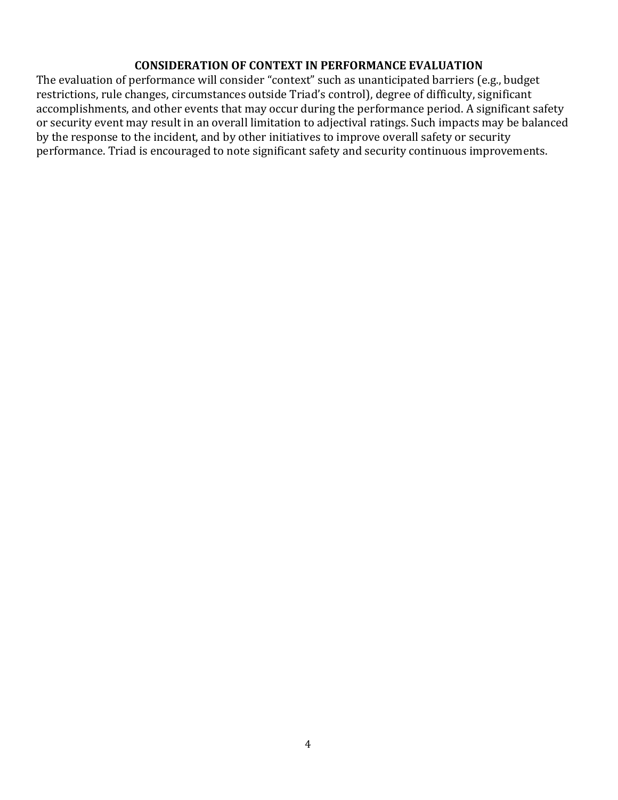#### **CONSIDERATION OF CONTEXT IN PERFORMANCE EVALUATION**

The evaluation of performance will consider "context" such as unanticipated barriers (e.g., budget restrictions, rule changes, circumstances outside Triad's control), degree of difficulty, significant accomplishments, and other events that may occur during the performance period. A significant safety or security event may result in an overall limitation to adjectival ratings. Such impacts may be balanced by the response to the incident, and by other initiatives to improve overall safety or security performance. Triad is encouraged to note significant safety and security continuous improvements.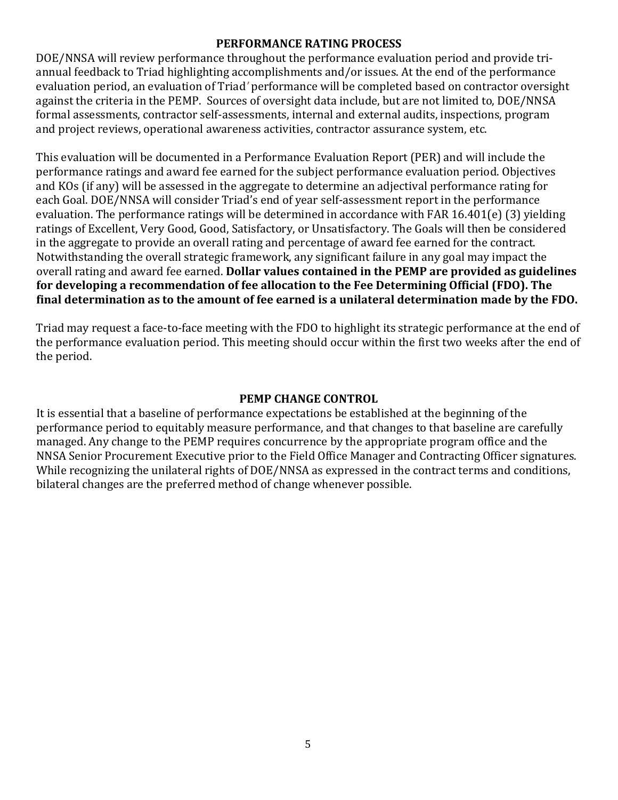#### **PERFORMANCE RATING PROCESS**

DOE/NNSA will review performance throughout the performance evaluation period and provide triannual feedback to Triad highlighting accomplishments and/or issues. At the end of the performance evaluation period, an evaluation of Triad*'* performance will be completed based on contractor oversight against the criteria in the PEMP. Sources of oversight data include, but are not limited to, DOE/NNSA formal assessments, contractor self-assessments, internal and external audits, inspections, program and project reviews, operational awareness activities, contractor assurance system, etc.

This evaluation will be documented in a Performance Evaluation Report (PER) and will include the performance ratings and award fee earned for the subject performance evaluation period. Objectives and KOs (if any) will be assessed in the aggregate to determine an adjectival performance rating for each Goal. DOE/NNSA will consider Triad's end of year self-assessment report in the performance evaluation. The performance ratings will be determined in accordance with FAR 16.401(e) (3) yielding ratings of Excellent, Very Good, Good, Satisfactory, or Unsatisfactory. The Goals will then be considered in the aggregate to provide an overall rating and percentage of award fee earned for the contract. Notwithstanding the overall strategic framework, any significant failure in any goal may impact the overall rating and award fee earned. **Dollar values contained in the PEMP are provided as guidelines for developing a recommendation of fee allocation to the Fee Determining Official (FDO). The final determination as to the amount of fee earned is a unilateral determination made by the FDO.**

Triad may request a face-to-face meeting with the FDO to highlight its strategic performance at the end of the performance evaluation period. This meeting should occur within the first two weeks after the end of the period.

#### **PEMP CHANGE CONTROL**

It is essential that a baseline of performance expectations be established at the beginning of the performance period to equitably measure performance, and that changes to that baseline are carefully managed. Any change to the PEMP requires concurrence by the appropriate program office and the NNSA Senior Procurement Executive prior to the Field Office Manager and Contracting Officer signatures. While recognizing the unilateral rights of DOE/NNSA as expressed in the contract terms and conditions, bilateral changes are the preferred method of change whenever possible.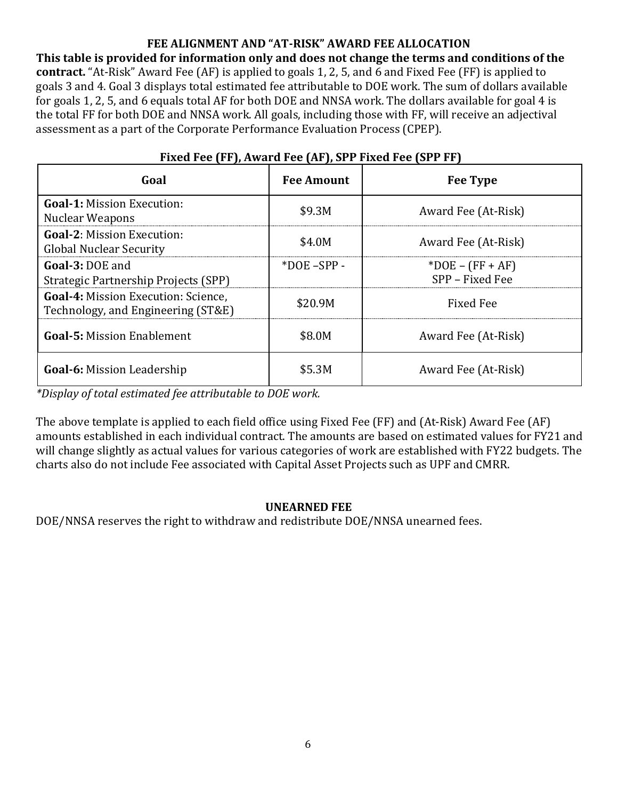## **FEE ALIGNMENT AND "AT-RISK" AWARD FEE ALLOCATION**

**This table is provided for information only and does not change the terms and conditions of the contract.** "At-Risk" Award Fee (AF) is applied to goals 1, 2, 5, and 6 and Fixed Fee (FF) is applied to goals 3 and 4. Goal 3 displays total estimated fee attributable to DOE work. The sum of dollars available for goals 1, 2, 5, and 6 equals total AF for both DOE and NNSA work. The dollars available for goal 4 is the total FF for both DOE and NNSA work. All goals, including those with FF, will receive an adjectival assessment as a part of the Corporate Performance Evaluation Process (CPEP).

| Goal                                                                             | <b>Fee Amount</b> | <b>Fee Type</b>                       |
|----------------------------------------------------------------------------------|-------------------|---------------------------------------|
| <b>Goal-1: Mission Execution:</b><br>Nuclear Weapons                             | \$9.3M            | Award Fee (At-Risk)                   |
| <b>Goal-2: Mission Execution:</b><br><b>Global Nuclear Security</b>              | \$4.0M            | Award Fee (At-Risk)                   |
| Goal-3: DOE and<br>Strategic Partnership Projects (SPP)                          | $*DOE$ –SPP –     | $*DOE - (FF + AF)$<br>SPP - Fixed Fee |
| <b>Goal-4: Mission Execution: Science,</b><br>Technology, and Engineering (ST&E) | \$20.9M           | <b>Fixed Fee</b>                      |
| <b>Goal-5: Mission Enablement</b>                                                | \$8.0M            | Award Fee (At-Risk)                   |
| <b>Goal-6:</b> Mission Leadership                                                | \$5.3M            | Award Fee (At-Risk)                   |

## **Fixed Fee (FF), Award Fee (AF), SPP Fixed Fee (SPP FF)**

*\*Display of total estimated fee attributable to DOE work.*

The above template is applied to each field office using Fixed Fee (FF) and (At-Risk) Award Fee (AF) amounts established in each individual contract. The amounts are based on estimated values for FY21 and will change slightly as actual values for various categories of work are established with FY22 budgets. The charts also do not include Fee associated with Capital Asset Projects such as UPF and CMRR.

## **UNEARNED FEE**

DOE/NNSA reserves the right to withdraw and redistribute DOE/NNSA unearned fees.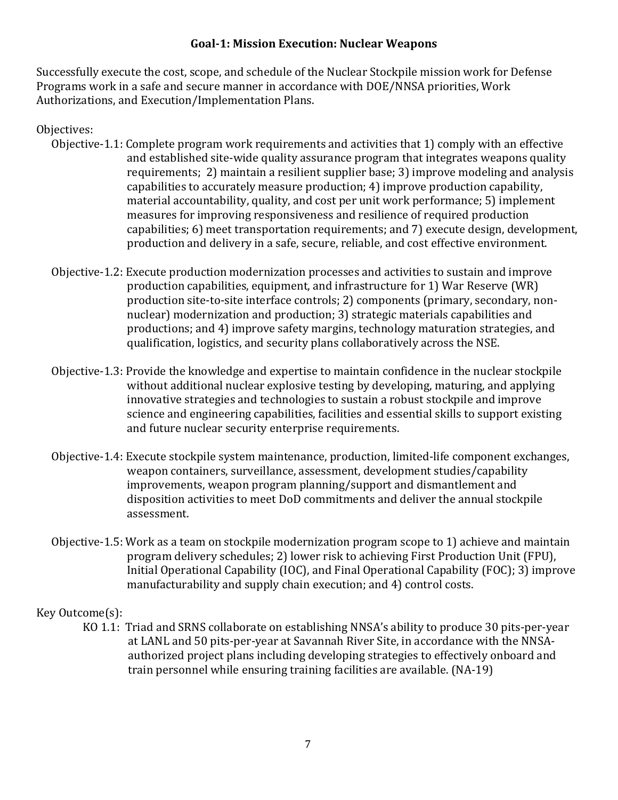#### **Goal-1: Mission Execution: Nuclear Weapons**

Successfully execute the cost, scope, and schedule of the Nuclear Stockpile mission work for Defense Programs work in a safe and secure manner in accordance with DOE/NNSA priorities, Work Authorizations, and Execution/Implementation Plans.

#### Objectives:

- Objective-1.1: Complete program work requirements and activities that 1) comply with an effective and established site-wide quality assurance program that integrates weapons quality requirements; 2) maintain a resilient supplier base; 3) improve modeling and analysis capabilities to accurately measure production; 4) improve production capability, material accountability, quality, and cost per unit work performance; 5) implement measures for improving responsiveness and resilience of required production capabilities; 6) meet transportation requirements; and 7) execute design, development, production and delivery in a safe, secure, reliable, and cost effective environment.
- Objective-1.2: Execute production modernization processes and activities to sustain and improve production capabilities, equipment, and infrastructure for 1) War Reserve (WR) production site-to-site interface controls; 2) components (primary, secondary, nonnuclear) modernization and production; 3) strategic materials capabilities and productions; and 4) improve safety margins, technology maturation strategies, and qualification, logistics, and security plans collaboratively across the NSE.
- Objective-1.3: Provide the knowledge and expertise to maintain confidence in the nuclear stockpile without additional nuclear explosive testing by developing, maturing, and applying innovative strategies and technologies to sustain a robust stockpile and improve science and engineering capabilities, facilities and essential skills to support existing and future nuclear security enterprise requirements.
- Objective-1.4: Execute stockpile system maintenance, production, limited-life component exchanges, weapon containers, surveillance, assessment, development studies/capability improvements, weapon program planning/support and dismantlement and disposition activities to meet DoD commitments and deliver the annual stockpile assessment.
- Objective-1.5: Work as a team on stockpile modernization program scope to 1) achieve and maintain program delivery schedules; 2) lower risk to achieving First Production Unit (FPU), Initial Operational Capability (IOC), and Final Operational Capability (FOC); 3) improve manufacturability and supply chain execution; and 4) control costs.

## Key Outcome(s):

KO 1.1: Triad and SRNS collaborate on establishing NNSA's ability to produce 30 pits-per-year at LANL and 50 pits-per-year at Savannah River Site, in accordance with the NNSAauthorized project plans including developing strategies to effectively onboard and train personnel while ensuring training facilities are available. (NA-19)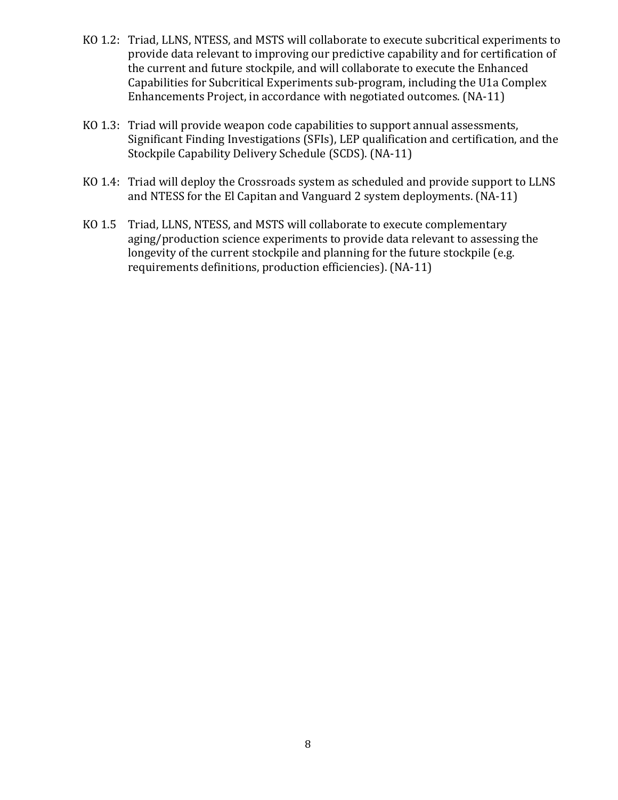- KO 1.2: Triad, LLNS, NTESS, and MSTS will collaborate to execute subcritical experiments to provide data relevant to improving our predictive capability and for certification of the current and future stockpile, and will collaborate to execute the Enhanced Capabilities for Subcritical Experiments sub-program, including the U1a Complex Enhancements Project, in accordance with negotiated outcomes. (NA-11)
- KO 1.3: Triad will provide weapon code capabilities to support annual assessments, Significant Finding Investigations (SFIs), LEP qualification and certification, and the Stockpile Capability Delivery Schedule (SCDS). (NA-11)
- KO 1.4: Triad will deploy the Crossroads system as scheduled and provide support to LLNS and NTESS for the El Capitan and Vanguard 2 system deployments. (NA-11)
- KO 1.5 Triad, LLNS, NTESS, and MSTS will collaborate to execute complementary aging/production science experiments to provide data relevant to assessing the longevity of the current stockpile and planning for the future stockpile (e.g. requirements definitions, production efficiencies). (NA-11)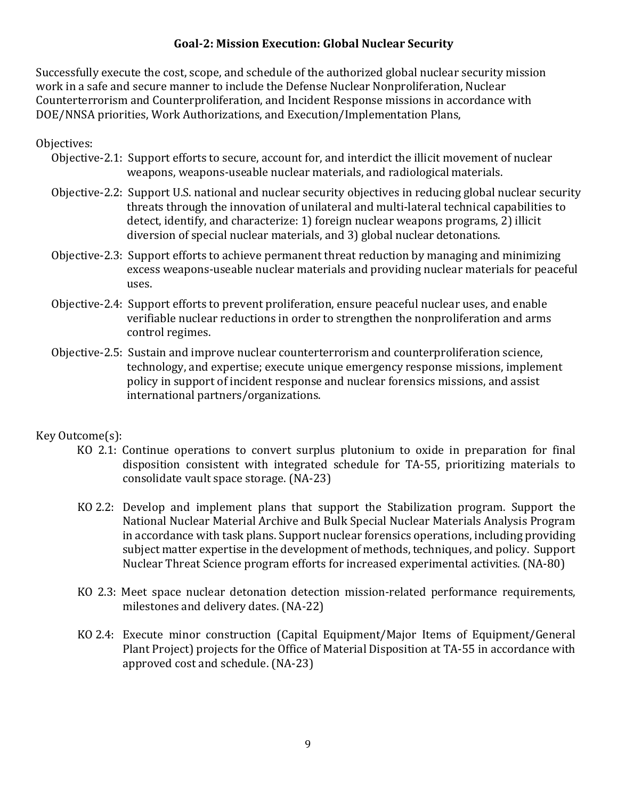### **Goal-2: Mission Execution: Global Nuclear Security**

Successfully execute the cost, scope, and schedule of the authorized global nuclear security mission work in a safe and secure manner to include the Defense Nuclear Nonproliferation, Nuclear Counterterrorism and Counterproliferation, and Incident Response missions in accordance with DOE/NNSA priorities, Work Authorizations, and Execution/Implementation Plans,

### Objectives:

- Objective-2.1: Support efforts to secure, account for, and interdict the illicit movement of nuclear weapons, weapons-useable nuclear materials, and radiological materials.
- Objective-2.2: Support U.S. national and nuclear security objectives in reducing global nuclear security threats through the innovation of unilateral and multi-lateral technical capabilities to detect, identify, and characterize: 1) foreign nuclear weapons programs, 2) illicit diversion of special nuclear materials, and 3) global nuclear detonations.
- Objective-2.3: Support efforts to achieve permanent threat reduction by managing and minimizing excess weapons-useable nuclear materials and providing nuclear materials for peaceful uses.
- Objective-2.4: Support efforts to prevent proliferation, ensure peaceful nuclear uses, and enable verifiable nuclear reductions in order to strengthen the nonproliferation and arms control regimes.
- Objective-2.5: Sustain and improve nuclear counterterrorism and counterproliferation science, technology, and expertise; execute unique emergency response missions, implement policy in support of incident response and nuclear forensics missions, and assist international partners/organizations.

#### Key Outcome(s):

- KO 2.1: Continue operations to convert surplus plutonium to oxide in preparation for final disposition consistent with integrated schedule for TA-55, prioritizing materials to consolidate vault space storage. (NA-23)
- KO 2.2: Develop and implement plans that support the Stabilization program. Support the National Nuclear Material Archive and Bulk Special Nuclear Materials Analysis Program in accordance with task plans. Support nuclear forensics operations, including providing subject matter expertise in the development of methods, techniques, and policy. Support Nuclear Threat Science program efforts for increased experimental activities. (NA-80)
- KO 2.3: Meet space nuclear detonation detection mission-related performance requirements, milestones and delivery dates. (NA-22)
- KO 2.4: Execute minor construction (Capital Equipment/Major Items of Equipment/General Plant Project) projects for the Office of Material Disposition at TA-55 in accordance with approved cost and schedule. (NA-23)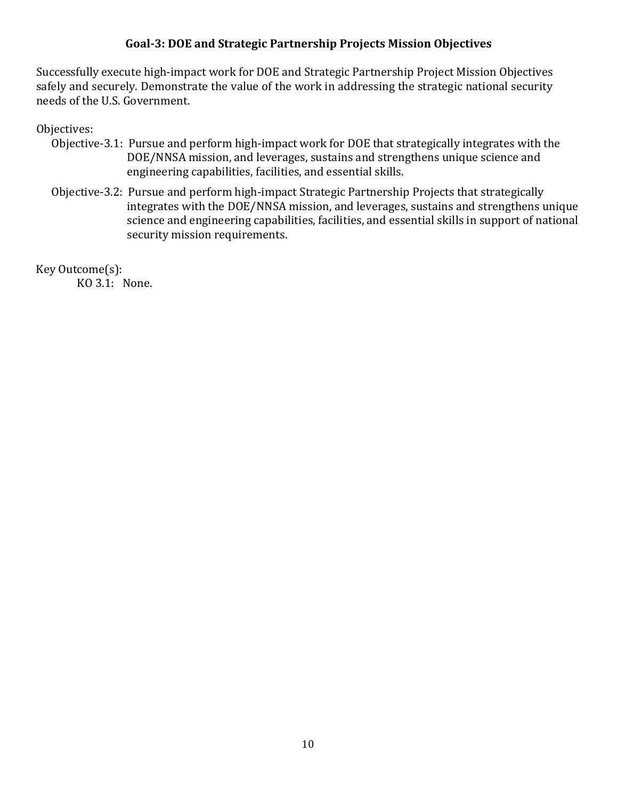#### **Goal-3: DOE and Strategic Partnership Projects Mission Objectives**

Successfully execute high-impact work for DOE and Strategic Partnership Project Mission Objectives safely and securely. Demonstrate the value of the work in addressing the strategic national security needs of the U.S. Government.

#### Objectives:

- Objective-3.1: Pursue and perform high-impact work for DOE that strategically integrates with the DOE/NNSA mission, and leverages, sustains and strengthens unique science and engineering capabilities, facilities, and essential skills.
- Objective-3.2: Pursue and perform high-impact Strategic Partnership Projects that strategically integrates with the DOE/NNSA mission, and leverages, sustains and strengthens unique science and engineering capabilities, facilities, and essential skills in support of national security mission requirements.

Key Outcome(s):

KO 3.1: None.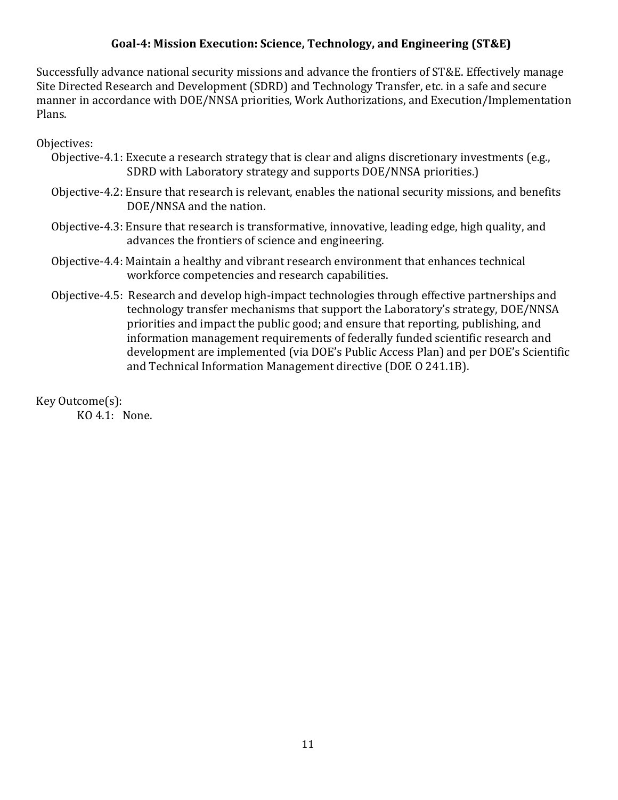### **Goal-4: Mission Execution: Science, Technology, and Engineering (ST&E)**

Successfully advance national security missions and advance the frontiers of ST&E. Effectively manage Site Directed Research and Development (SDRD) and Technology Transfer, etc. in a safe and secure manner in accordance with DOE/NNSA priorities, Work Authorizations, and Execution/Implementation Plans.

Objectives:

- Objective-4.1: Execute a research strategy that is clear and aligns discretionary investments (e.g., SDRD with Laboratory strategy and supports DOE/NNSA priorities.)
- Objective-4.2: Ensure that research is relevant, enables the national security missions, and benefits DOE/NNSA and the nation.
- Objective-4.3: Ensure that research is transformative, innovative, leading edge, high quality, and advances the frontiers of science and engineering.
- Objective-4.4: Maintain a healthy and vibrant research environment that enhances technical workforce competencies and research capabilities.
- Objective-4.5: Research and develop high-impact technologies through effective partnerships and technology transfer mechanisms that support the Laboratory's strategy, DOE/NNSA priorities and impact the public good; and ensure that reporting, publishing, and information management requirements of federally funded scientific research and development are implemented (via DOE's Public Access Plan) and per DOE's Scientific and Technical Information Management directive (DOE O 241.1B).

Key Outcome(s):

KO 4.1: None.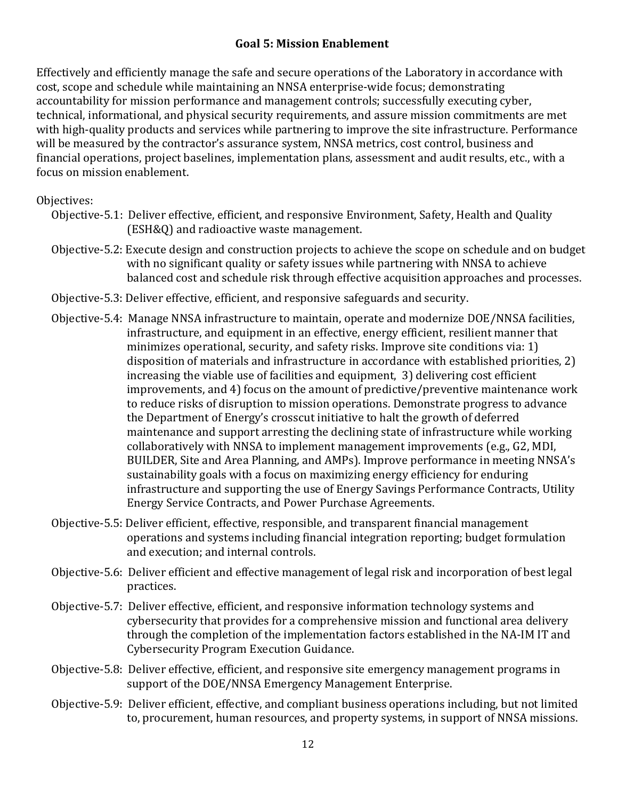## **Goal 5: Mission Enablement**

Effectively and efficiently manage the safe and secure operations of the Laboratory in accordance with cost, scope and schedule while maintaining an NNSA enterprise-wide focus; demonstrating accountability for mission performance and management controls; successfully executing cyber, technical, informational, and physical security requirements, and assure mission commitments are met with high-quality products and services while partnering to improve the site infrastructure. Performance will be measured by the contractor's assurance system, NNSA metrics, cost control, business and financial operations, project baselines, implementation plans, assessment and audit results, etc., with a focus on mission enablement.

#### Objectives:

- Objective-5.1: Deliver effective, efficient, and responsive Environment, Safety, Health and Quality (ESH&Q) and radioactive waste management.
- Objective-5.2: Execute design and construction projects to achieve the scope on schedule and on budget with no significant quality or safety issues while partnering with NNSA to achieve balanced cost and schedule risk through effective acquisition approaches and processes.
- Objective-5.3: Deliver effective, efficient, and responsive safeguards and security.
- Objective-5.4: Manage NNSA infrastructure to maintain, operate and modernize DOE/NNSA facilities, infrastructure, and equipment in an effective, energy efficient, resilient manner that minimizes operational, security, and safety risks. Improve site conditions via: 1) disposition of materials and infrastructure in accordance with established priorities, 2) increasing the viable use of facilities and equipment, 3) delivering cost efficient improvements, and 4) focus on the amount of predictive/preventive maintenance work to reduce risks of disruption to mission operations. Demonstrate progress to advance the Department of Energy's crosscut initiative to halt the growth of deferred maintenance and support arresting the declining state of infrastructure while working collaboratively with NNSA to implement management improvements (e.g., G2, MDI, BUILDER, Site and Area Planning, and AMPs). Improve performance in meeting NNSA's sustainability goals with a focus on maximizing energy efficiency for enduring infrastructure and supporting the use of Energy Savings Performance Contracts, Utility Energy Service Contracts, and Power Purchase Agreements.
- Objective-5.5: Deliver efficient, effective, responsible, and transparent financial management operations and systems including financial integration reporting; budget formulation and execution; and internal controls.
- Objective-5.6: Deliver efficient and effective management of legal risk and incorporation of best legal practices.
- Objective-5.7: Deliver effective, efficient, and responsive information technology systems and cybersecurity that provides for a comprehensive mission and functional area delivery through the completion of the implementation factors established in the NA-IM IT and Cybersecurity Program Execution Guidance.
- Objective-5.8: Deliver effective, efficient, and responsive site emergency management programs in support of the DOE/NNSA Emergency Management Enterprise.
- Objective-5.9: Deliver efficient, effective, and compliant business operations including, but not limited to, procurement, human resources, and property systems, in support of NNSA missions.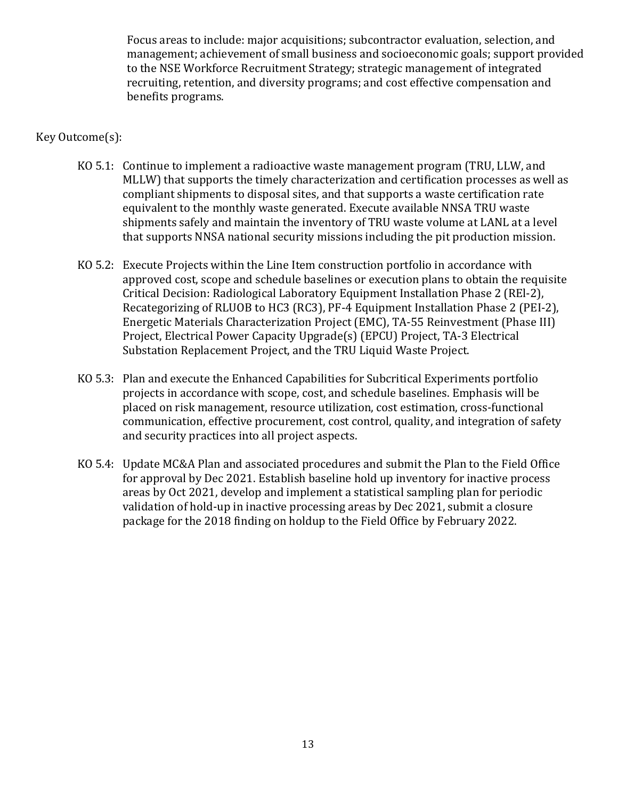Focus areas to include: major acquisitions; subcontractor evaluation, selection, and management; achievement of small business and socioeconomic goals; support provided to the NSE Workforce Recruitment Strategy; strategic management of integrated recruiting, retention, and diversity programs; and cost effective compensation and benefits programs.

#### Key Outcome(s):

- KO 5.1: Continue to implement a radioactive waste management program (TRU, LLW, and MLLW) that supports the timely characterization and certification processes as well as compliant shipments to disposal sites, and that supports a waste certification rate equivalent to the monthly waste generated. Execute available NNSA TRU waste shipments safely and maintain the inventory of TRU waste volume at LANL at a level that supports NNSA national security missions including the pit production mission.
- KO 5.2: Execute Projects within the Line Item construction portfolio in accordance with approved cost, scope and schedule baselines or execution plans to obtain the requisite Critical Decision: Radiological Laboratory Equipment Installation Phase 2 (REl-2), Recategorizing of RLUOB to HC3 (RC3), PF-4 Equipment Installation Phase 2 (PEI-2), Energetic Materials Characterization Project (EMC), TA-55 Reinvestment (Phase III) Project, Electrical Power Capacity Upgrade(s) (EPCU) Project, TA-3 Electrical Substation Replacement Project, and the TRU Liquid Waste Project.
- KO 5.3: Plan and execute the Enhanced Capabilities for Subcritical Experiments portfolio projects in accordance with scope, cost, and schedule baselines. Emphasis will be placed on risk management, resource utilization, cost estimation, cross-functional communication, effective procurement, cost control, quality, and integration of safety and security practices into all project aspects.
- KO 5.4: Update MC&A Plan and associated procedures and submit the Plan to the Field Office for approval by Dec 2021. Establish baseline hold up inventory for inactive process areas by Oct 2021, develop and implement a statistical sampling plan for periodic validation of hold-up in inactive processing areas by Dec 2021, submit a closure package for the 2018 finding on holdup to the Field Office by February 2022.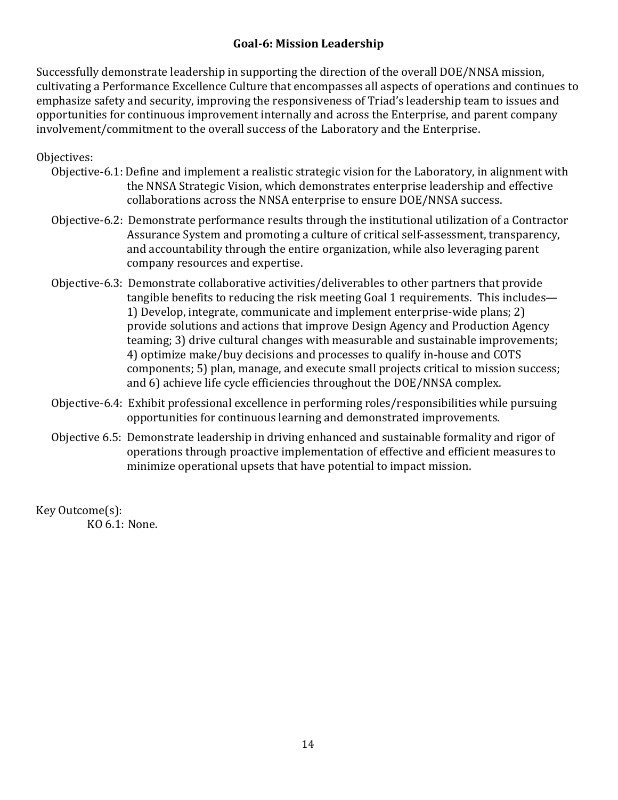## **Goal-6: Mission Leadership**

Successfully demonstrate leadership in supporting the direction of the overall DOE/NNSA mission, cultivating a Performance Excellence Culture that encompasses all aspects of operations and continues to emphasize safety and security, improving the responsiveness of Triad's leadership team to issues and opportunities for continuous improvement internally and across the Enterprise, and parent company involvement/commitment to the overall success of the Laboratory and the Enterprise.

### Objectives:

- Objective-6.1: Define and implement a realistic strategic vision for the Laboratory, in alignment with the NNSA Strategic Vision, which demonstrates enterprise leadership and effective collaborations across the NNSA enterprise to ensure DOE/NNSA success.
- Objective-6.2: Demonstrate performance results through the institutional utilization of a Contractor Assurance System and promoting a culture of critical self-assessment, transparency, and accountability through the entire organization, while also leveraging parent company resources and expertise.
- Objective-6.3: Demonstrate collaborative activities/deliverables to other partners that provide tangible benefits to reducing the risk meeting Goal 1 requirements. This includes— 1) Develop, integrate, communicate and implement enterprise-wide plans; 2) provide solutions and actions that improve Design Agency and Production Agency teaming; 3) drive cultural changes with measurable and sustainable improvements; 4) optimize make/buy decisions and processes to qualify in-house and COTS components; 5) plan, manage, and execute small projects critical to mission success; and 6) achieve life cycle efficiencies throughout the DOE/NNSA complex.
- Objective-6.4: Exhibit professional excellence in performing roles/responsibilities while pursuing opportunities for continuous learning and demonstrated improvements.
- Objective 6.5: Demonstrate leadership in driving enhanced and sustainable formality and rigor of operations through proactive implementation of effective and efficient measures to minimize operational upsets that have potential to impact mission.

Key Outcome(s): KO 6.1: None.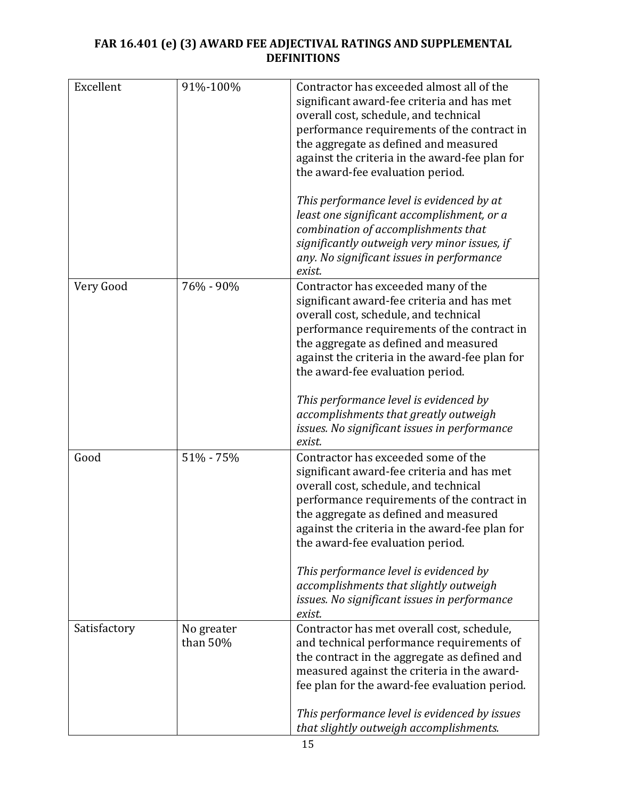### **FAR 16.401 (e) (3) AWARD FEE ADJECTIVAL RATINGS AND SUPPLEMENTAL DEFINITIONS**

| Excellent    | 91%-100%               | Contractor has exceeded almost all of the<br>significant award-fee criteria and has met<br>overall cost, schedule, and technical<br>performance requirements of the contract in<br>the aggregate as defined and measured<br>against the criteria in the award-fee plan for<br>the award-fee evaluation period.<br>This performance level is evidenced by at<br>least one significant accomplishment, or a<br>combination of accomplishments that<br>significantly outweigh very minor issues, if |
|--------------|------------------------|--------------------------------------------------------------------------------------------------------------------------------------------------------------------------------------------------------------------------------------------------------------------------------------------------------------------------------------------------------------------------------------------------------------------------------------------------------------------------------------------------|
|              |                        | any. No significant issues in performance<br>exist.                                                                                                                                                                                                                                                                                                                                                                                                                                              |
| Very Good    | 76% - 90%              | Contractor has exceeded many of the<br>significant award-fee criteria and has met<br>overall cost, schedule, and technical<br>performance requirements of the contract in<br>the aggregate as defined and measured<br>against the criteria in the award-fee plan for<br>the award-fee evaluation period.                                                                                                                                                                                         |
|              |                        | This performance level is evidenced by<br>accomplishments that greatly outweigh<br>issues. No significant issues in performance<br>exist.                                                                                                                                                                                                                                                                                                                                                        |
| Good         | 51% - 75%              | Contractor has exceeded some of the<br>significant award-fee criteria and has met<br>overall cost, schedule, and technical<br>performance requirements of the contract in<br>the aggregate as defined and measured<br>against the criteria in the award-fee plan for<br>the award-fee evaluation period.                                                                                                                                                                                         |
|              |                        | This performance level is evidenced by<br>accomplishments that slightly outweigh<br>issues. No significant issues in performance<br>exist.                                                                                                                                                                                                                                                                                                                                                       |
| Satisfactory | No greater<br>than 50% | Contractor has met overall cost, schedule,<br>and technical performance requirements of<br>the contract in the aggregate as defined and<br>measured against the criteria in the award-<br>fee plan for the award-fee evaluation period.                                                                                                                                                                                                                                                          |
|              |                        | This performance level is evidenced by issues<br>that slightly outweigh accomplishments.                                                                                                                                                                                                                                                                                                                                                                                                         |